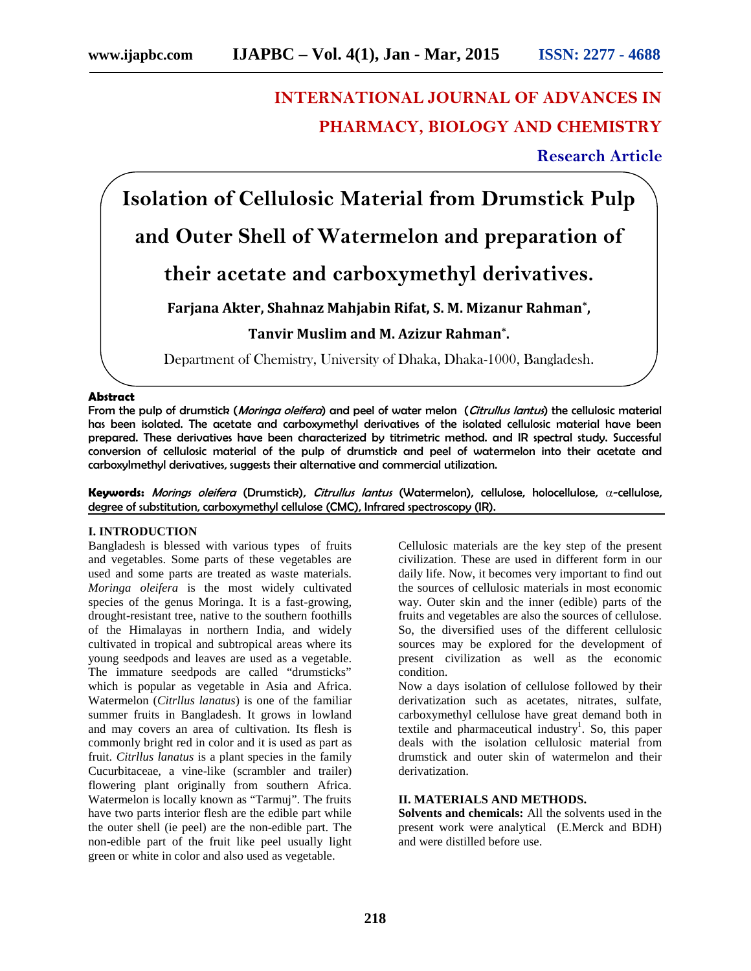# **INTERNATIONAL JOURNAL OF ADVANCES IN PHARMACY, BIOLOGY AND CHEMISTRY**

**Research Article**

**Isolation of Cellulosic Material from Drumstick Pulp and Outer Shell of Watermelon and preparation of**

## **their acetate and carboxymethyl derivatives.**

## **Farjana Akter, Shahnaz Mahjabin Rifat, S. M. Mizanur Rahman\* ,**

## **Tanvir Muslim and M. Azizur Rahman\* .**

Department of Chemistry, University of Dhaka, Dhaka-1000, Bangladesh.

#### **Abstract**

From the pulp of drumstick (*Moringa oleifera*) and peel of water melon (*Citrullus lantus*) the cellulosic material has been isolated. The acetate and carboxymethyl derivatives of the isolated cellulosic material have been prepared. These derivatives have been characterized by titrimetric method. and IR spectral study. Successful conversion of cellulosic material of the pulp of drumstick and peel of watermelon into their acetate and carboxylmethyl derivatives, suggests their alternative and commercial utilization.

**Keywords:** *Morings oleifera* (Drumstick), *Citrullus lantus* (Watermelon), cellulose, holocellulose, α-cellulose, degree of substitution, carboxymethyl cellulose (CMC), Infrared spectroscopy (IR).

#### **I. INTRODUCTION**

Bangladesh is blessed with various types of fruits and vegetables. Some parts of these vegetables are used and some parts are treated as waste materials. *Moringa oleifera* is the most widely cultivated species of the genus Moringa. It is a fast-growing, drought-resistant tree, native to the southern foothills of the Himalayas in northern India, and widely cultivated in tropical and subtropical areas where its young seedpods and leaves are used as a vegetable. The immature seedpods are called "drumsticks" which is popular as vegetable in Asia and Africa. Watermelon (*Citrllus lanatus*) is one of the familiar summer fruits in Bangladesh. It grows in lowland and may covers an area of cultivation. Its flesh is commonly bright red in color and it is used as part as fruit. *Citrllus lanatus* is a plant species in the family Cucurbitaceae, a vine-like (scrambler and trailer) flowering plant originally from southern Africa. Watermelon is locally known as "Tarmuj". The fruits have two parts interior flesh are the edible part while the outer shell (ie peel) are the non-edible part. The non-edible part of the fruit like peel usually light green or white in color and also used as vegetable.

Cellulosic materials are the key step of the present civilization. These are used in different form in our daily life. Now, it becomes very important to find out the sources of cellulosic materials in most economic way. Outer skin and the inner (edible) parts of the fruits and vegetables are also the sources of cellulose. So, the diversified uses of the different cellulosic sources may be explored for the development of present civilization as well as the economic condition.

Now a days isolation of cellulose followed by their derivatization such as acetates, nitrates, sulfate, carboxymethyl cellulose have great demand both in textile and pharmaceutical industry<sup>1</sup>. So, this paper deals with the isolation cellulosic material from drumstick and outer skin of watermelon and their derivatization.

#### **II. MATERIALS AND METHODS.**

**Solvents and chemicals:** All the solvents used in the present work were analytical (E.Merck and BDH) and were distilled before use.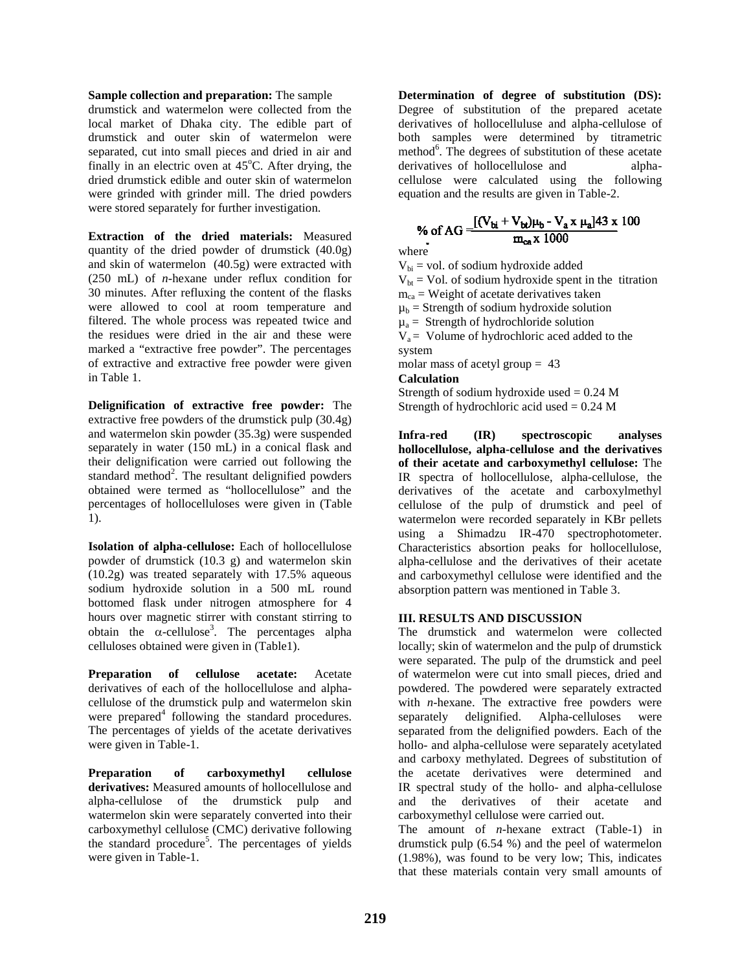#### **Sample collection and preparation:** The sample

drumstick and watermelon were collected from the local market of Dhaka city. The edible part of drumstick and outer skin of watermelon were separated, cut into small pieces and dried in air and finally in an electric oven at  $45^{\circ}$ C. After drying, the dried drumstick edible and outer skin of watermelon were grinded with grinder mill. The dried powders were stored separately for further investigation.

**Extraction of the dried materials:** Measured quantity of the dried powder of drumstick (40.0g) and skin of watermelon (40.5g) were extracted with (250 mL) of *n*-hexane under reflux condition for 30 minutes. After refluxing the content of the flasks were allowed to cool at room temperature and filtered. The whole process was repeated twice and the residues were dried in the air and these were marked a "extractive free powder". The percentages of extractive and extractive free powder were given in Table 1.

**Delignification of extractive free powder:** The extractive free powders of the drumstick pulp (30.4g) and watermelon skin powder (35.3g) were suspended separately in water (150 mL) in a conical flask and their delignification were carried out following the standard method<sup>2</sup>. The resultant delignified powders obtained were termed as "hollocellulose" and the percentages of hollocelluloses were given in (Table 1).

**Isolation of alpha-cellulose:** Each of hollocellulose powder of drumstick (10.3 g) and watermelon skin (10.2g) was treated separately with 17.5% aqueous sodium hydroxide solution in a 500 mL round bottomed flask under nitrogen atmosphere for 4 hours over magnetic stirrer with constant stirring to obtain the  $\alpha$ -cellulose<sup>3</sup>. The percentages alpha celluloses obtained were given in (Table1).

**Preparation of cellulose acetate:** Acetate derivatives of each of the hollocellulose and alpha cellulose of the drumstick pulp and watermelon skin were prepared<sup>4</sup> following the standard procedures. The percentages of yields of the acetate derivatives were given in Table-1.

**Preparation of carboxymethyl cellulose derivatives:** Measured amounts of hollocellulose and alpha-cellulose of the drumstick pulp and watermelon skin were separately converted into their carboxymethyl cellulose (CMC) derivative following the standard procedure<sup>5</sup>. The percentages of yields were given in Table-1.

**Determination of degree of substitution (DS):** Degree of substitution of the prepared acetate derivatives of hollocelluluse and alpha-cellulose of both samples were determined by titrametric method<sup>6</sup>. The degrees of substitution of these acetate derivatives of hollocellulose and alphacellulose were calculated using the following equation and the results are given in Table-2.

# % of AG =  $\frac{[(V_{bi} + V_{bi})\mu_b - V_a x \mu_a]43 x}{m_{cs}x 1000}$

where

 $V_{bi}$  = vol. of sodium hydroxide added  $V_{\text{bt}}$  = Vol. of sodium hydroxide spent in the titration  $m_{ca}$  = Weight of acetate derivatives taken  $\mu_b$  = Strength of sodium hydroxide solution  $\mu_a$  = Strength of hydrochloride solution  $V_a$  = Volume of hydrochloric aced added to the system molar mass of acetyl group = 43

#### **Calculation**

Strength of sodium hydroxide used  $= 0.24$  M Strength of hydrochloric acid used  $= 0.24$  M

**Infra-red (IR) spectroscopic analyses hollocellulose, alpha-cellulose and the derivatives of their acetate and carboxymethyl cellulose:** The IR spectra of hollocellulose, alpha-cellulose, the derivatives of the acetate and carboxylmethyl cellulose of the pulp of drumstick and peel of watermelon were recorded separately in KBr pellets using a Shimadzu IR-470 spectrophotometer. Characteristics absortion peaks for hollocellulose, alpha-cellulose and the derivatives of their acetate and carboxymethyl cellulose were identified and the absorption pattern was mentioned in Table 3.

#### **III. RESULTS AND DISCUSSION**

The drumstick and watermelon were collected locally; skin of watermelon and the pulp of drumstick were separated. The pulp of the drumstick and peel of watermelon were cut into small pieces, dried and powdered. The powdered were separately extracted with *n*-hexane. The extractive free powders were separately delignified. Alpha-celluloses were separated from the delignified powders. Each of the hollo- and alpha-cellulose were separately acetylated and carboxy methylated. Degrees of substitution of the acetate derivatives were determined and IR spectral study of the hollo- and alpha-cellulose and the derivatives of their acetate and carboxymethyl cellulose were carried out.

The amount of *n*-hexane extract (Table-1) in drumstick pulp (6.54 %) and the peel of watermelon (1.98%), was found to be very low; This, indicates that these materials contain very small amounts of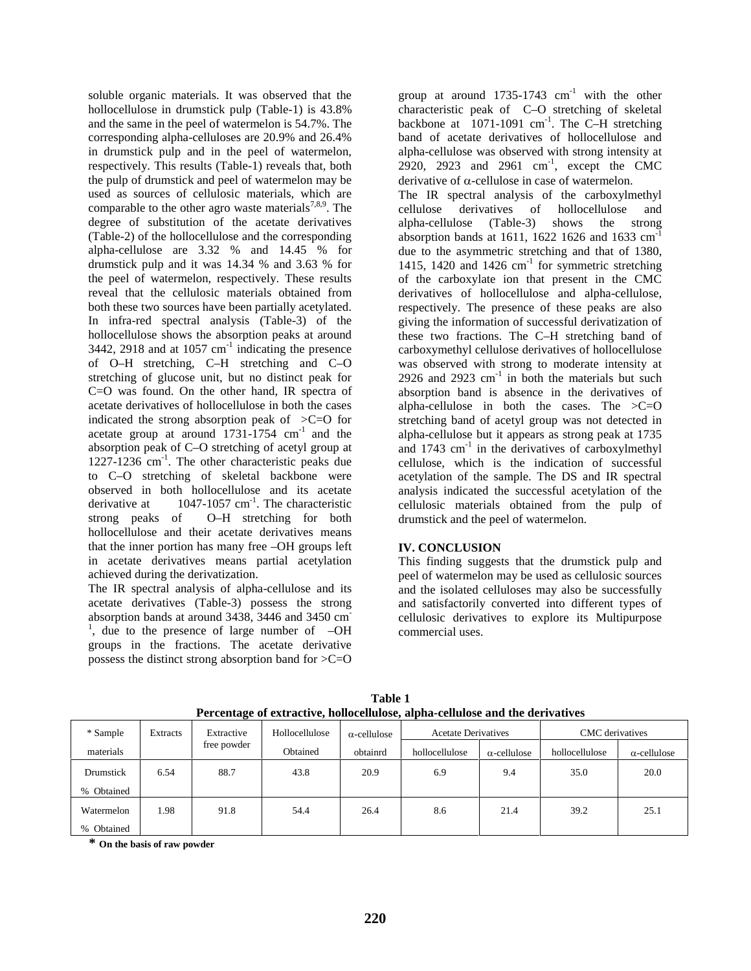soluble organic materials. It was observed that the hollocellulose in drumstick pulp (Table-1) is 43.8% and the same in the peel of watermelon is 54.7%. The corresponding alpha-celluloses are 20.9% and 26.4% in drumstick pulp and in the peel of watermelon, respectively. This results (Table-1) reveals that, both the pulp of drumstick and peel of watermelon may be used as sources of cellulosic materials, which are comparable to the other agro waste materials<sup>7,8,9</sup>. The degree of substitution of the acetate derivatives (Table-2) of the hollocellulose and the corresponding alpha-cellulose are 3.32 % and 14.45 % for drumstick pulp and it was 14.34 % and 3.63 % for the peel of watermelon, respectively. These results reveal that the cellulosic materials obtained from both these two sources have been partially acetylated. In infra-red spectral analysis (Table-3) of the hollocellulose shows the absorption peaks at around  $3442$ ,  $2918$  and at  $1057$  cm<sup>-1</sup> indicating the presence of O–H stretching, C–H stretching and C–O stretching of glucose unit, but no distinct peak for C=O was found. On the other hand, IR spectra of acetate derivatives of hollocellulose in both the cases indicated the strong absorption peak of  $\geq C=O$  for acetate group at around  $1731-1754$  cm<sup>-1</sup> and the absorption peak of C–O stretching of acetyl group at 1227-1236 cm-1 . The other characteristic peaks due to C–O stretching of skeletal backbone were observed in both hollocellulose and its acetate derivative at  $1047 - 1057$  cm<sup>-1</sup>. The characteristic strong peaks of O–H stretching for both hollocellulose and their acetate derivatives means that the inner portion has many free –OH groups left in acetate derivatives means partial acetylation achieved during the derivatization.

The IR spectral analysis of alpha-cellulose and its acetate derivatives (Table-3) possess the strong absorption bands at around 3438, 3446 and 3450 cm<sup>-</sup> <sup>1</sup>, due to the presence of large number of  $-QH$ groups in the fractions. The acetate derivative possess the distinct strong absorption band for >C=O group at around  $1735-1743$  cm<sup>-1</sup> with the other characteristic peak of C–O stretching of skeletal backbone at  $1071-1091$  cm<sup>-1</sup>. The C-H stretching band of acetate derivatives of hollocellulose and alpha-cellulose was observed with strong intensity at  $2920$ ,  $2923$  and  $2961$  cm<sup>-1</sup>, except the CMC derivative of  $\alpha$ -cellulose in case of watermelon.

The IR spectral analysis of the carboxylmethyl cellulose derivatives of hollocellulose and alpha-cellulose (Table-3) shows the strong absorption bands at 1611, 1622 1626 and 1633  $cm<sup>-1</sup>$ due to the asymmetric stretching and that of 1380, 1415, 1420 and 1426 cm<sup>-1</sup> for symmetric stretching of the carboxylate ion that present in the CMC derivatives of hollocellulose and alpha-cellulose, respectively. The presence of these peaks are also giving the information of successful derivatization of these two fractions. The C–H stretching band of carboxymethyl cellulose derivatives of hollocellulose was observed with strong to moderate intensity at 2926 and 2923  $\text{cm}^{-1}$  in both the materials but such absorption band is absence in the derivatives of alpha-cellulose in both the cases. The  $>C=O$ stretching band of acetyl group was not detected in alpha-cellulose but it appears as strong peak at 1735 and  $1743 \text{ cm}^{-1}$  in the derivatives of carboxylmethyl cellulose, which is the indication of successful acetylation of the sample. The DS and IR spectral analysis indicated the successful acetylation of the cellulosic materials obtained from the pulp of drumstick and the peel of watermelon.

#### **IV. CONCLUSION**

This finding suggests that the drumstick pulp and peel of watermelon may be used as cellulosic sources and the isolated celluloses may also be successfully and satisfactorily converted into different types of cellulosic derivatives to explore its Multipurpose commercial uses.

| Percentage of extractive, honocenthose, alpha-centhose and the derivatives |          |             |                |                     |                            |                     |                 |                     |
|----------------------------------------------------------------------------|----------|-------------|----------------|---------------------|----------------------------|---------------------|-----------------|---------------------|
| * Sample                                                                   | Extracts | Extractive  | Hollocellulose | $\alpha$ -cellulose | <b>Acetate Derivatives</b> |                     | CMC derivatives |                     |
| materials                                                                  |          | free powder | Obtained       | obtainrd            | hollocellulose             | $\alpha$ -cellulose | hollocellulose  | $\alpha$ -cellulose |
| Drumstick                                                                  | 6.54     | 88.7        | 43.8           | 20.9                | 6.9                        | 9.4                 | 35.0            | 20.0                |
| % Obtained                                                                 |          |             |                |                     |                            |                     |                 |                     |
| Watermelon                                                                 | 1.98     | 91.8        | 54.4           | 26.4                | 8.6                        | 21.4                | 39.2            | 25.1                |
| % Obtained                                                                 |          |             |                |                     |                            |                     |                 |                     |

**Table 1 Percentage of extractive, hollocellulose, alpha-cellulose and the derivatives**

**\* On the basis of raw powder**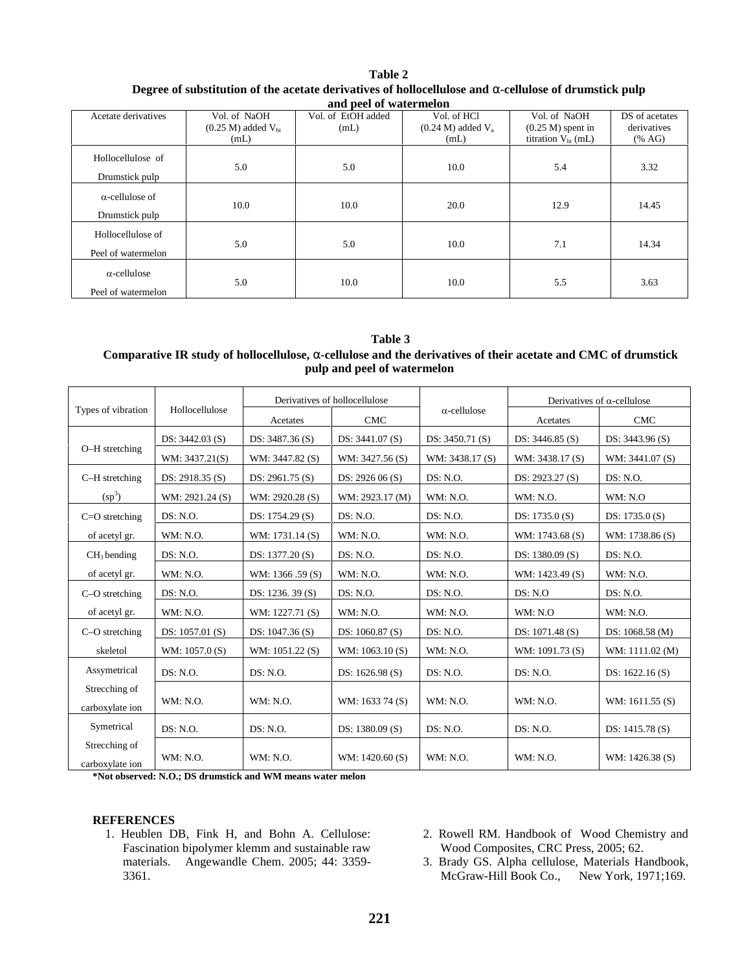| o                                         |                                                   |                            |                                               |                                                                | . .                                     |
|-------------------------------------------|---------------------------------------------------|----------------------------|-----------------------------------------------|----------------------------------------------------------------|-----------------------------------------|
|                                           |                                                   | and peel of watermelon     |                                               |                                                                |                                         |
| Acetate derivatives                       | Vol. of NaOH<br>$(0.25 M)$ added $V_{bi}$<br>(mL) | Vol. of EtOH added<br>(mL) | Vol. of HCl<br>$(0.24 M)$ added $V_a$<br>(mL) | Vol. of NaOH<br>$(0.25 M)$ spent in<br>titration $V_{bt}$ (mL) | DS of acetates<br>derivatives<br>(% AG) |
| Hollocellulose of<br>Drumstick pulp       | 5.0                                               | 5.0                        | 10.0                                          | 5.4                                                            | 3.32                                    |
| $\alpha$ -cellulose of<br>Drumstick pulp  | 10.0                                              | 10.0                       | 20.0                                          | 12.9                                                           | 14.45                                   |
| Hollocellulose of<br>Peel of watermelon   | 5.0                                               | 5.0                        | 10.0                                          | 7.1                                                            | 14.34                                   |
| $\alpha$ -cellulose<br>Peel of watermelon | 5.0                                               | 10.0                       | 10.0                                          | 5.5                                                            | 3.63                                    |

## **Table 2 Degree of substitution of the acetate derivatives of hollocellulose and -cellulose of drumstick pulp**

**Table 3 Comparative IR study of hollocellulose, -cellulose and the derivatives of their acetate and CMC of drumstick pulp and peel of watermelon**

|                                  |                   | Derivatives of hollocellulose |                   |                     | Derivatives of $\alpha$ -cellulose |                  |
|----------------------------------|-------------------|-------------------------------|-------------------|---------------------|------------------------------------|------------------|
| Types of vibration               | Hollocellulose    | Acetates                      | <b>CMC</b>        | $\alpha$ -cellulose | Acetates                           | <b>CMC</b>       |
| O-H stretching                   | DS: $3442.03$ (S) | DS: $3487.36(S)$              | DS: $3441.07(S)$  | DS: $3450.71(S)$    | DS: $3446.85(S)$                   | DS: 3443.96 (S)  |
|                                  | WM: 3437.21(S)    | WM: 3447.82 (S)               | WM: 3427.56 (S)   | WM: 3438.17(S)      | WM: 3438.17 (S)                    | WM: 3441.07 (S)  |
| C-H stretching                   | DS: 2918.35 (S)   | DS: 2961.75 (S)               | DS: 2926 06 (S)   | DS: N.O.            | DS: 2923.27 (S)                    | DS: N.O.         |
| $(sp^3)$                         | WM: 2921.24 (S)   | WM: 2920.28 (S)               | WM: 2923.17 (M)   | WM: N.O.            | WM: N.O.                           | WM: N.O          |
| $C=O$ stretching                 | DS: N.O.          | DS: $1754.29$ (S)             | DS: N.O.          | DS: N.O.            | DS: $1735.0$ (S)                   | DS: $1735.0$ (S) |
| of acetyl gr.                    | WM: N.O.          | WM: 1731.14 (S)               | WM: N.O.          | WM: N.O.            | WM: 1743.68 (S)                    | WM: 1738.86 (S)  |
| $CH3$ bending                    | DS: N.O.          | DS: 1377.20 (S)               | DS: N.O.          | DS: N.O.            | DS: 1380.09 (S)                    | DS: N.O.         |
| of acetyl gr.                    | WM: N.O.          | WM: 1366 .59 (S)              | WM: N.O.          | WM: N.O.            | WM: 1423.49 (S)                    | WM: N.O.         |
| C-O stretching                   | DS: N.O.          | DS: 1236.39(S)                | DS: N.O.          | DS: N.O.            | DS: N.O                            | DS: N.O.         |
| of acetyl gr.                    | WM: N.O.          | WM: 1227.71 (S)               | WM: N.O.          | WM: N.O.            | WM: N.O                            | WM: N.O.         |
| C-O stretching                   | DS: 1057.01 (S)   | DS: 1047.36 (S)               | DS: 1060.87 (S)   | DS: N.O.            | DS: 1071.48 (S)                    | DS: 1068.58 (M)  |
| skeletol                         | WM: 1057.0(S)     | WM: 1051.22 (S)               | WM: $1063.10(S)$  | WM: N.O.            | WM: 1091.73 (S)                    | WM: 1111.02 (M)  |
| Assymetrical                     | DS: N.O.          | DS: N.O.                      | DS: $1626.98(S)$  | DS: N.O.            | DS: N.O.                           | DS: $1622.16(S)$ |
| Strecching of<br>carboxylate ion | WM: N.O.          | WM: N.O.                      | WM: 1633 74 (S)   | WM: N.O.            | WM: N.O.                           | WM: $1611.55(S)$ |
| Symetrical                       | DS: N.O.          | DS: N.O.                      | DS: $1380.09$ (S) | DS: N.O.            | DS: N.O.                           | DS: $1415.78(S)$ |
| Strecching of<br>carboxylate ion | WM: N.O.          | WM: N.O.                      | WM: $1420.60$ (S) | WM: N.O.            | WM: N.O.                           | WM: 1426.38 (S)  |

**\*Not observed: N.O.; DS drumstick and WM means water melon**

#### **REFERENCES**

- 1. Heublen DB, Fink H, and Bohn A. Cellulose: Fascination bipolymer klemm and sustainable raw materials. Angewandle Chem. 2005; 44: 3359- 3361.
- 2. Rowell RM. Handbook of Wood Chemistry and Wood Composites, CRC Press, 2005; 62.
- 3. Brady GS. Alpha cellulose, Materials Handbook, McGraw-Hill Book Co., New York, 1971;169.